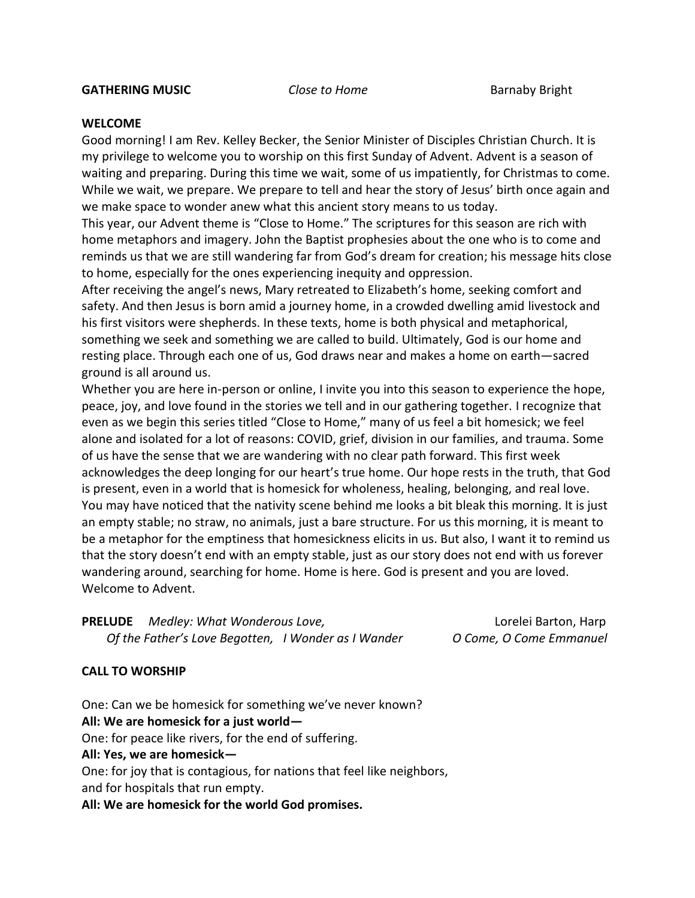## **WELCOME**

Good morning! I am Rev. Kelley Becker, the Senior Minister of Disciples Christian Church. It is my privilege to welcome you to worship on this first Sunday of Advent. Advent is a season of waiting and preparing. During this time we wait, some of us impatiently, for Christmas to come. While we wait, we prepare. We prepare to tell and hear the story of Jesus' birth once again and we make space to wonder anew what this ancient story means to us today.

This year, our Advent theme is "Close to Home." The scriptures for this season are rich with home metaphors and imagery. John the Baptist prophesies about the one who is to come and reminds us that we are still wandering far from God's dream for creation; his message hits close to home, especially for the ones experiencing inequity and oppression.

After receiving the angel's news, Mary retreated to Elizabeth's home, seeking comfort and safety. And then Jesus is born amid a journey home, in a crowded dwelling amid livestock and his first visitors were shepherds. In these texts, home is both physical and metaphorical, something we seek and something we are called to build. Ultimately, God is our home and resting place. Through each one of us, God draws near and makes a home on earth—sacred ground is all around us.

Whether you are here in-person or online, I invite you into this season to experience the hope, peace, joy, and love found in the stories we tell and in our gathering together. I recognize that even as we begin this series titled "Close to Home," many of us feel a bit homesick; we feel alone and isolated for a lot of reasons: COVID, grief, division in our families, and trauma. Some of us have the sense that we are wandering with no clear path forward. This first week acknowledges the deep longing for our heart's true home. Our hope rests in the truth, that God is present, even in a world that is homesick for wholeness, healing, belonging, and real love. You may have noticed that the nativity scene behind me looks a bit bleak this morning. It is just an empty stable; no straw, no animals, just a bare structure. For us this morning, it is meant to be a metaphor for the emptiness that homesickness elicits in us. But also, I want it to remind us that the story doesn't end with an empty stable, just as our story does not end with us forever wandering around, searching for home. Home is here. God is present and you are loved. Welcome to Advent.

**PRELUDE** *Medley: What Wonderous Love,* Lorelei Barton, Harp *Of the Father's Love Begotten, I Wonder as I Wander O Come, O Come Emmanuel* 

# **CALL TO WORSHIP**

One: Can we be homesick for something we've never known? **All: We are homesick for a just world—** One: for peace like rivers, for the end of suffering. **All: Yes, we are homesick—** One: for joy that is contagious, for nations that feel like neighbors, and for hospitals that run empty.

**All: We are homesick for the world God promises.**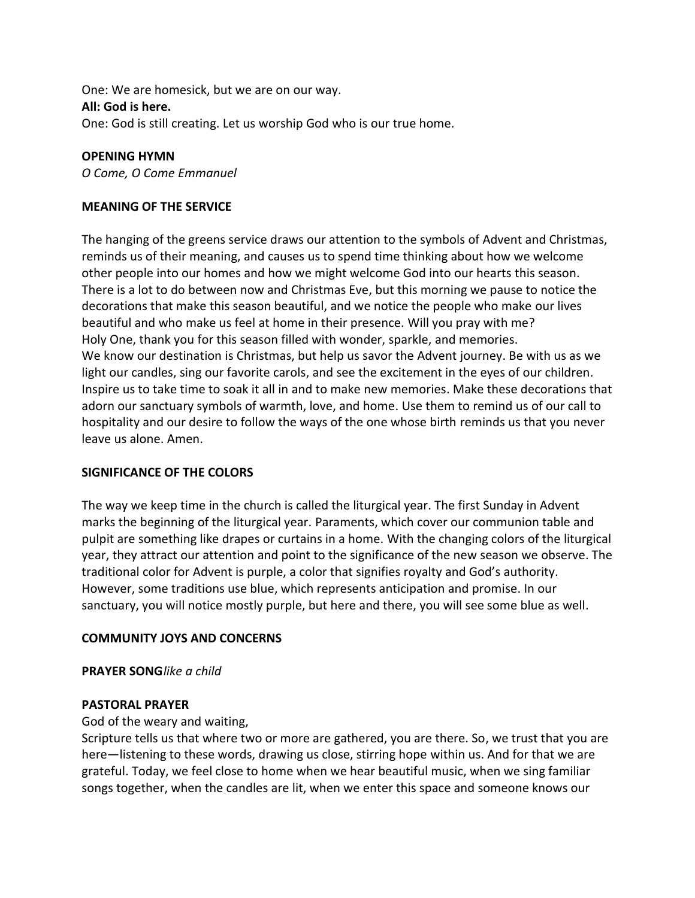One: We are homesick, but we are on our way. **All: God is here.**  One: God is still creating. Let us worship God who is our true home.

## **OPENING HYMN**

*O Come, O Come Emmanuel*

## **MEANING OF THE SERVICE**

The hanging of the greens service draws our attention to the symbols of Advent and Christmas, reminds us of their meaning, and causes us to spend time thinking about how we welcome other people into our homes and how we might welcome God into our hearts this season. There is a lot to do between now and Christmas Eve, but this morning we pause to notice the decorations that make this season beautiful, and we notice the people who make our lives beautiful and who make us feel at home in their presence. Will you pray with me? Holy One, thank you for this season filled with wonder, sparkle, and memories. We know our destination is Christmas, but help us savor the Advent journey. Be with us as we light our candles, sing our favorite carols, and see the excitement in the eyes of our children. Inspire us to take time to soak it all in and to make new memories. Make these decorations that adorn our sanctuary symbols of warmth, love, and home. Use them to remind us of our call to hospitality and our desire to follow the ways of the one whose birth reminds us that you never leave us alone. Amen.

### **SIGNIFICANCE OF THE COLORS**

The way we keep time in the church is called the liturgical year. The first Sunday in Advent marks the beginning of the liturgical year. Paraments, which cover our communion table and pulpit are something like drapes or curtains in a home. With the changing colors of the liturgical year, they attract our attention and point to the significance of the new season we observe. The traditional color for Advent is purple, a color that signifies royalty and God's authority. However, some traditions use blue, which represents anticipation and promise. In our sanctuary, you will notice mostly purple, but here and there, you will see some blue as well.

### **COMMUNITY JOYS AND CONCERNS**

**PRAYER SONG***like a child*

### **PASTORAL PRAYER**

### God of the weary and waiting,

Scripture tells us that where two or more are gathered, you are there. So, we trust that you are here—listening to these words, drawing us close, stirring hope within us. And for that we are grateful. Today, we feel close to home when we hear beautiful music, when we sing familiar songs together, when the candles are lit, when we enter this space and someone knows our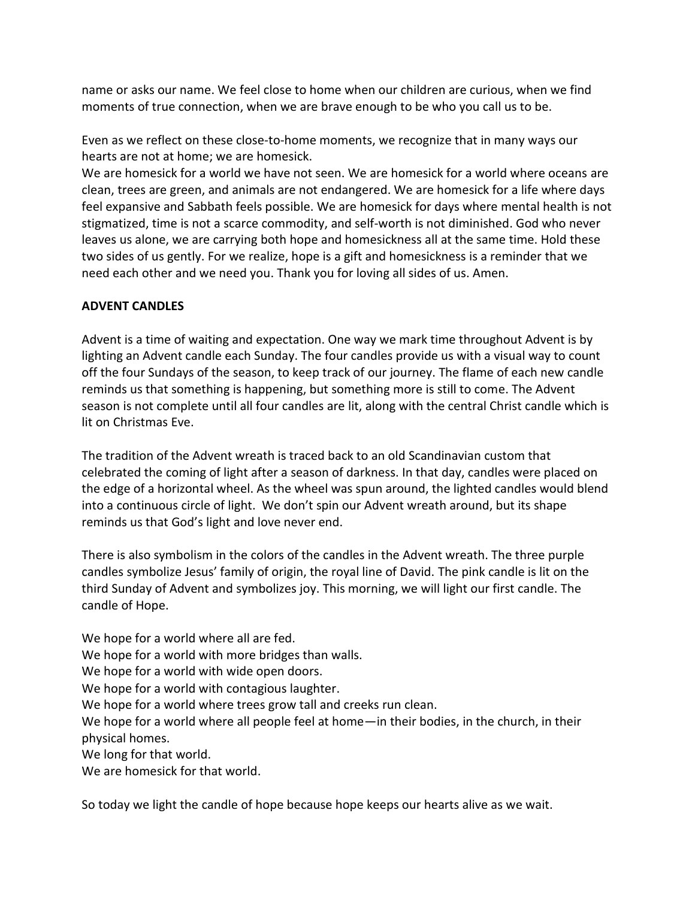name or asks our name. We feel close to home when our children are curious, when we find moments of true connection, when we are brave enough to be who you call us to be.

Even as we reflect on these close-to-home moments, we recognize that in many ways our hearts are not at home; we are homesick.

We are homesick for a world we have not seen. We are homesick for a world where oceans are clean, trees are green, and animals are not endangered. We are homesick for a life where days feel expansive and Sabbath feels possible. We are homesick for days where mental health is not stigmatized, time is not a scarce commodity, and self-worth is not diminished. God who never leaves us alone, we are carrying both hope and homesickness all at the same time. Hold these two sides of us gently. For we realize, hope is a gift and homesickness is a reminder that we need each other and we need you. Thank you for loving all sides of us. Amen.

# **ADVENT CANDLES**

Advent is a time of waiting and expectation. One way we mark time throughout Advent is by lighting an Advent candle each Sunday. The four candles provide us with a visual way to count off the four Sundays of the season, to keep track of our journey. The flame of each new candle reminds us that something is happening, but something more is still to come. The Advent season is not complete until all four candles are lit, along with the central Christ candle which is lit on Christmas Eve.

The tradition of the Advent wreath is traced back to an old Scandinavian custom that celebrated the coming of light after a season of darkness. In that day, candles were placed on the edge of a horizontal wheel. As the wheel was spun around, the lighted candles would blend into a continuous circle of light. We don't spin our Advent wreath around, but its shape reminds us that God's light and love never end.

There is also symbolism in the colors of the candles in the Advent wreath. The three purple candles symbolize Jesus' family of origin, the royal line of David. The pink candle is lit on the third Sunday of Advent and symbolizes joy. This morning, we will light our first candle. The candle of Hope.

We hope for a world where all are fed. We hope for a world with more bridges than walls. We hope for a world with wide open doors. We hope for a world with contagious laughter. We hope for a world where trees grow tall and creeks run clean. We hope for a world where all people feel at home—in their bodies, in the church, in their physical homes. We long for that world. We are homesick for that world.

So today we light the candle of hope because hope keeps our hearts alive as we wait.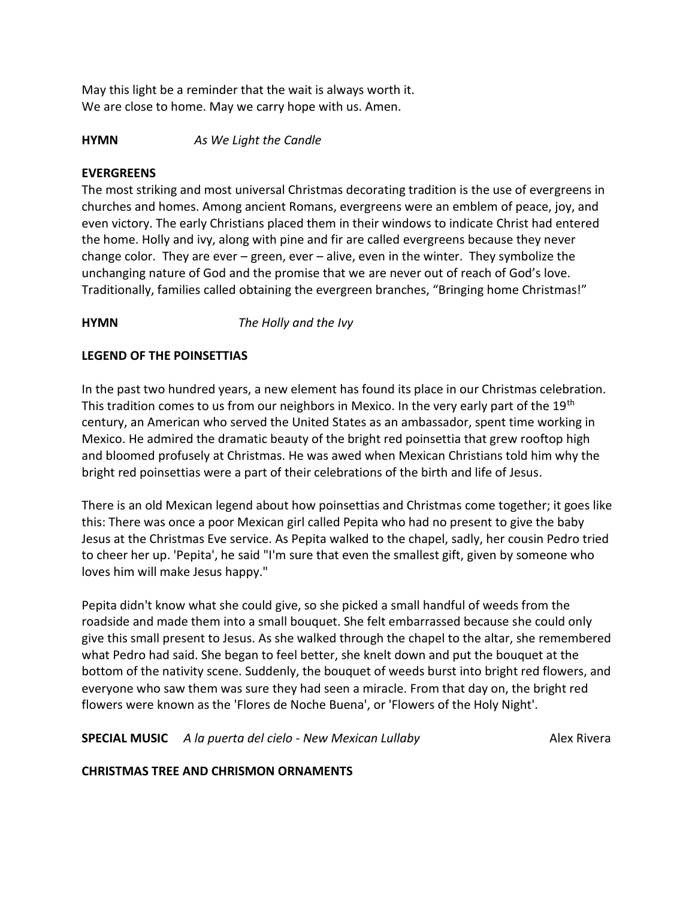May this light be a reminder that the wait is always worth it. We are close to home. May we carry hope with us. Amen.

**HYMN** *As We Light the Candle*

## **EVERGREENS**

The most striking and most universal Christmas decorating tradition is the use of evergreens in churches and homes. Among ancient Romans, evergreens were an emblem of peace, joy, and even victory. The early Christians placed them in their windows to indicate Christ had entered the home. Holly and ivy, along with pine and fir are called evergreens because they never change color. They are ever – green, ever – alive, even in the winter. They symbolize the unchanging nature of God and the promise that we are never out of reach of God's love. Traditionally, families called obtaining the evergreen branches, "Bringing home Christmas!"

# **HYMN** *The Holly and the Ivy*

# **LEGEND OF THE POINSETTIAS**

In the past two hundred years, a new element has found its place in our Christmas celebration. This tradition comes to us from our neighbors in Mexico. In the very early part of the 19<sup>th</sup> century, an American who served the United States as an ambassador, spent time working in Mexico. He admired the dramatic beauty of the bright red poinsettia that grew rooftop high and bloomed profusely at Christmas. He was awed when Mexican Christians told him why the bright red poinsettias were a part of their celebrations of the birth and life of Jesus.

There is an old Mexican legend about how poinsettias and Christmas come together; it goes like this: There was once a poor Mexican girl called Pepita who had no present to give the baby Jesus at the Christmas Eve service. As Pepita walked to the chapel, sadly, her cousin Pedro tried to cheer her up. 'Pepita', he said "I'm sure that even the smallest gift, given by someone who loves him will make Jesus happy."

Pepita didn't know what she could give, so she picked a small handful of weeds from the roadside and made them into a small bouquet. She felt embarrassed because she could only give this small present to Jesus. As she walked through the chapel to the altar, she remembered what Pedro had said. She began to feel better, she knelt down and put the bouquet at the bottom of the nativity scene. Suddenly, the bouquet of weeds burst into bright red flowers, and everyone who saw them was sure they had seen a miracle. From that day on, the bright red flowers were known as the 'Flores de Noche Buena', or 'Flowers of the Holy Night'.

**SPECIAL MUSIC** A la puerta del cielo - New Mexican Lullaby **Alex Rivera** Alex Rivera

# **CHRISTMAS TREE AND CHRISMON ORNAMENTS**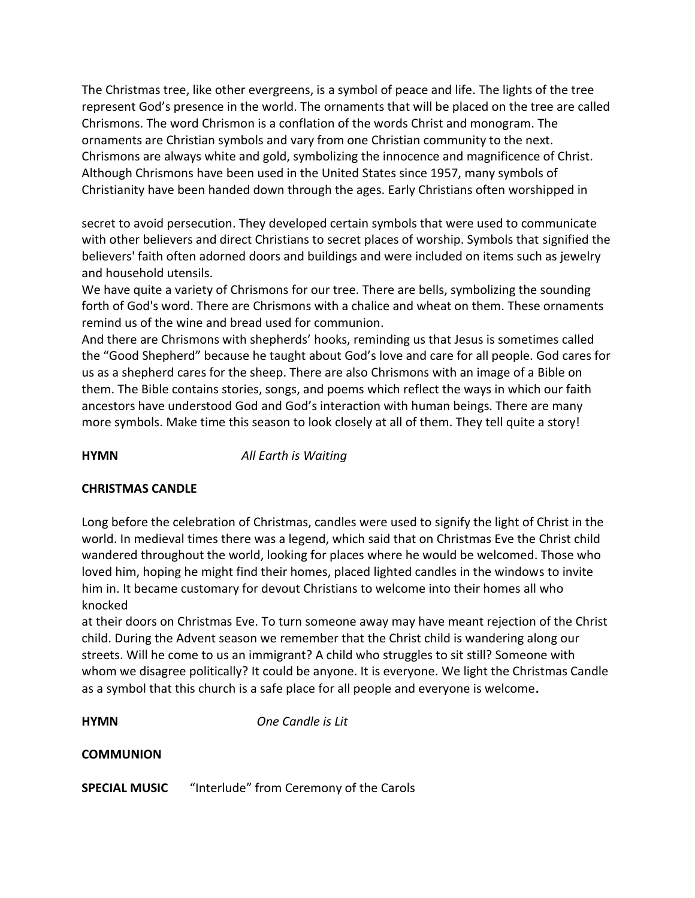The Christmas tree, like other evergreens, is a symbol of peace and life. The lights of the tree represent God's presence in the world. The ornaments that will be placed on the tree are called Chrismons. The word Chrismon is a conflation of the words Christ and monogram. The ornaments are Christian symbols and vary from one Christian community to the next. Chrismons are always white and gold, symbolizing the innocence and magnificence of Christ. Although Chrismons have been used in the United States since 1957, many symbols of Christianity have been handed down through the ages. Early Christians often worshipped in

secret to avoid persecution. They developed certain symbols that were used to communicate with other believers and direct Christians to secret places of worship. Symbols that signified the believers' faith often adorned doors and buildings and were included on items such as jewelry and household utensils.

We have quite a variety of Chrismons for our tree. There are bells, symbolizing the sounding forth of God's word. There are Chrismons with a chalice and wheat on them. These ornaments remind us of the wine and bread used for communion.

And there are Chrismons with shepherds' hooks, reminding us that Jesus is sometimes called the "Good Shepherd" because he taught about God's love and care for all people. God cares for us as a shepherd cares for the sheep. There are also Chrismons with an image of a Bible on them. The Bible contains stories, songs, and poems which reflect the ways in which our faith ancestors have understood God and God's interaction with human beings. There are many more symbols. Make time this season to look closely at all of them. They tell quite a story!

**HYMN** *All Earth is Waiting*

# **CHRISTMAS CANDLE**

Long before the celebration of Christmas, candles were used to signify the light of Christ in the world. In medieval times there was a legend, which said that on Christmas Eve the Christ child wandered throughout the world, looking for places where he would be welcomed. Those who loved him, hoping he might find their homes, placed lighted candles in the windows to invite him in. It became customary for devout Christians to welcome into their homes all who knocked

at their doors on Christmas Eve. To turn someone away may have meant rejection of the Christ child. During the Advent season we remember that the Christ child is wandering along our streets. Will he come to us an immigrant? A child who struggles to sit still? Someone with whom we disagree politically? It could be anyone. It is everyone. We light the Christmas Candle as a symbol that this church is a safe place for all people and everyone is welcome**.** 

**HYMN** *One Candle is Lit*

## **COMMUNION**

**SPECIAL MUSIC** "Interlude" from Ceremony of the Carols